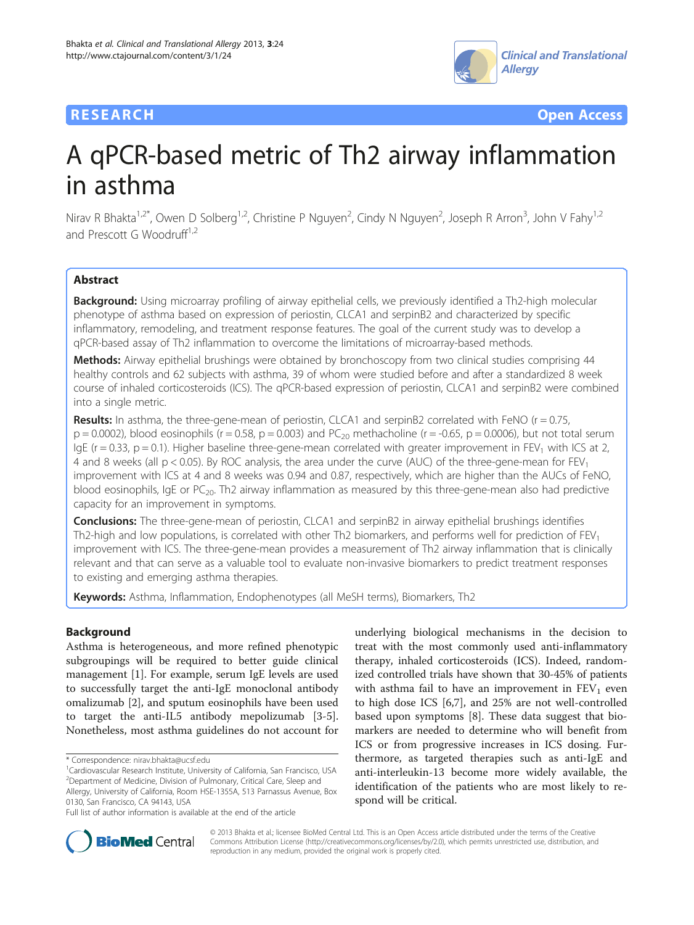## **RESEARCH CHE Open Access**



# A qPCR-based metric of Th2 airway inflammation in asthma

Nirav R Bhakta<sup>1,2\*</sup>, Owen D Solberg<sup>1,2</sup>, Christine P Nguyen<sup>2</sup>, Cindy N Nguyen<sup>2</sup>, Joseph R Arron<sup>3</sup>, John V Fahy<sup>1,2</sup> and Prescott G Woodruff<sup>1,2</sup>

## Abstract

Background: Using microarray profiling of airway epithelial cells, we previously identified a Th2-high molecular phenotype of asthma based on expression of periostin, CLCA1 and serpinB2 and characterized by specific inflammatory, remodeling, and treatment response features. The goal of the current study was to develop a qPCR-based assay of Th2 inflammation to overcome the limitations of microarray-based methods.

Methods: Airway epithelial brushings were obtained by bronchoscopy from two clinical studies comprising 44 healthy controls and 62 subjects with asthma, 39 of whom were studied before and after a standardized 8 week course of inhaled corticosteroids (ICS). The qPCR-based expression of periostin, CLCA1 and serpinB2 were combined into a single metric.

Results: In asthma, the three-gene-mean of periostin, CLCA1 and serpinB2 correlated with FeNO ( $r = 0.75$ ,  $p = 0.0002$ ), blood eosinophils (r = 0.58, p = 0.003) and PC<sub>20</sub> methacholine (r = -0.65, p = 0.0006), but not total serum IgE ( $r = 0.33$ ,  $p = 0.1$ ). Higher baseline three-gene-mean correlated with greater improvement in FEV<sub>1</sub> with ICS at 2, 4 and 8 weeks (all  $p < 0.05$ ). By ROC analysis, the area under the curve (AUC) of the three-gene-mean for  $FEV<sub>1</sub>$ improvement with ICS at 4 and 8 weeks was 0.94 and 0.87, respectively, which are higher than the AUCs of FeNO, blood eosinophils, IgE or  $PC_{20}$ . Th2 airway inflammation as measured by this three-gene-mean also had predictive capacity for an improvement in symptoms.

**Conclusions:** The three-gene-mean of periostin, CLCA1 and serpinB2 in airway epithelial brushings identifies Th2-high and low populations, is correlated with other Th2 biomarkers, and performs well for prediction of  $FEV<sub>1</sub>$ improvement with ICS. The three-gene-mean provides a measurement of Th2 airway inflammation that is clinically relevant and that can serve as a valuable tool to evaluate non-invasive biomarkers to predict treatment responses to existing and emerging asthma therapies.

Keywords: Asthma, Inflammation, Endophenotypes (all MeSH terms), Biomarkers, Th2

## **Background**

Asthma is heterogeneous, and more refined phenotypic subgroupings will be required to better guide clinical management [[1\]](#page-8-0). For example, serum IgE levels are used to successfully target the anti-IgE monoclonal antibody omalizumab [\[2\]](#page-8-0), and sputum eosinophils have been used to target the anti-IL5 antibody mepolizumab [[3-5](#page-8-0)]. Nonetheless, most asthma guidelines do not account for

underlying biological mechanisms in the decision to treat with the most commonly used anti-inflammatory therapy, inhaled corticosteroids (ICS). Indeed, randomized controlled trials have shown that 30-45% of patients with asthma fail to have an improvement in  $FEV<sub>1</sub>$  even to high dose ICS [[6,7\]](#page-8-0), and 25% are not well-controlled based upon symptoms [\[8](#page-8-0)]. These data suggest that biomarkers are needed to determine who will benefit from ICS or from progressive increases in ICS dosing. Furthermore, as targeted therapies such as anti-IgE and anti-interleukin-13 become more widely available, the identification of the patients who are most likely to respond will be critical.



© 2013 Bhakta et al.; licensee BioMed Central Ltd. This is an Open Access article distributed under the terms of the Creative Commons Attribution License [\(http://creativecommons.org/licenses/by/2.0\)](http://creativecommons.org/licenses/by/2.0), which permits unrestricted use, distribution, and reproduction in any medium, provided the original work is properly cited.

<sup>\*</sup> Correspondence: [nirav.bhakta@ucsf.edu](mailto:nirav.bhakta@ucsf.edu) <sup>1</sup>

<sup>&</sup>lt;sup>1</sup> Cardiovascular Research Institute, University of California, San Francisco, USA <sup>2</sup> Department of Medicine, Division of Pulmonary, Critical Care, Sleep and Allergy, University of California, Room HSE-1355A, 513 Parnassus Avenue, Box 0130, San Francisco, CA 94143, USA

Full list of author information is available at the end of the article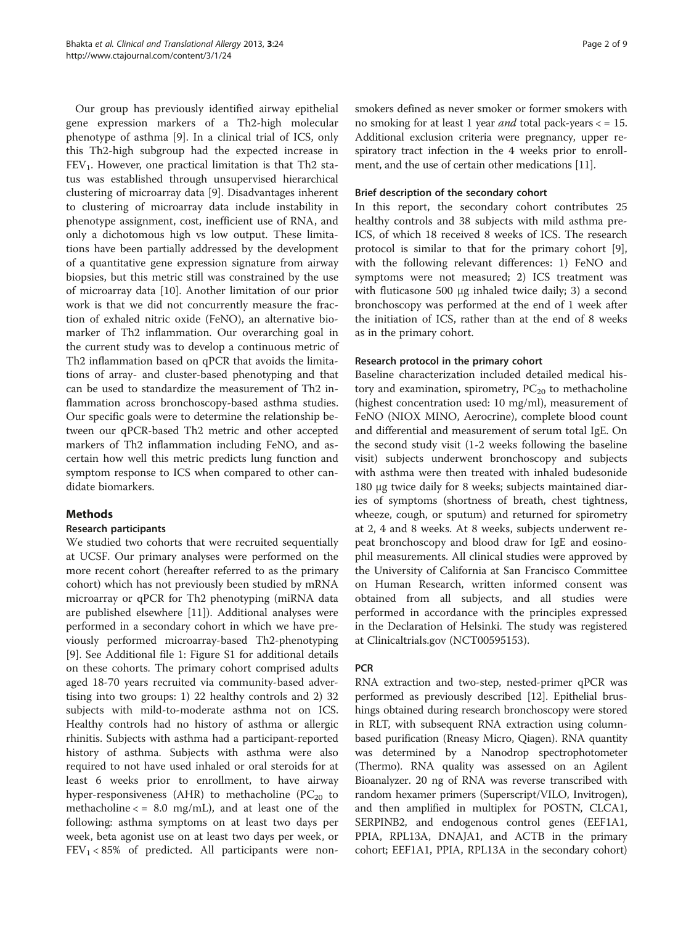<span id="page-1-0"></span>Our group has previously identified airway epithelial gene expression markers of a Th2-high molecular phenotype of asthma [[9\]](#page-8-0). In a clinical trial of ICS, only this Th2-high subgroup had the expected increase in  $FEV<sub>1</sub>$ . However, one practical limitation is that Th2 status was established through unsupervised hierarchical clustering of microarray data [[9\]](#page-8-0). Disadvantages inherent to clustering of microarray data include instability in phenotype assignment, cost, inefficient use of RNA, and only a dichotomous high vs low output. These limitations have been partially addressed by the development of a quantitative gene expression signature from airway biopsies, but this metric still was constrained by the use of microarray data [[10\]](#page-8-0). Another limitation of our prior work is that we did not concurrently measure the fraction of exhaled nitric oxide (FeNO), an alternative biomarker of Th2 inflammation. Our overarching goal in the current study was to develop a continuous metric of Th2 inflammation based on qPCR that avoids the limitations of array- and cluster-based phenotyping and that can be used to standardize the measurement of Th2 inflammation across bronchoscopy-based asthma studies. Our specific goals were to determine the relationship between our qPCR-based Th2 metric and other accepted markers of Th2 inflammation including FeNO, and ascertain how well this metric predicts lung function and symptom response to ICS when compared to other candidate biomarkers.

## Methods

## Research participants

We studied two cohorts that were recruited sequentially at UCSF. Our primary analyses were performed on the more recent cohort (hereafter referred to as the primary cohort) which has not previously been studied by mRNA microarray or qPCR for Th2 phenotyping (miRNA data are published elsewhere [\[11\]](#page-8-0)). Additional analyses were performed in a secondary cohort in which we have previously performed microarray-based Th2-phenotyping [[9\]](#page-8-0). See Additional file [1:](#page-7-0) Figure S1 for additional details on these cohorts. The primary cohort comprised adults aged 18-70 years recruited via community-based advertising into two groups: 1) 22 healthy controls and 2) 32 subjects with mild-to-moderate asthma not on ICS. Healthy controls had no history of asthma or allergic rhinitis. Subjects with asthma had a participant-reported history of asthma. Subjects with asthma were also required to not have used inhaled or oral steroids for at least 6 weeks prior to enrollment, to have airway hyper-responsiveness (AHR) to methacholine ( $PC_{20}$  to methacholine  $\langle 5.80 \text{ mg/mL} \rangle$ , and at least one of the following: asthma symptoms on at least two days per week, beta agonist use on at least two days per week, or  $FEV<sub>1</sub> < 85%$  of predicted. All participants were nonsmokers defined as never smoker or former smokers with no smoking for at least 1 year *and* total pack-years  $\langle 15 \rangle$ Additional exclusion criteria were pregnancy, upper respiratory tract infection in the 4 weeks prior to enrollment, and the use of certain other medications [[11](#page-8-0)].

### Brief description of the secondary cohort

In this report, the secondary cohort contributes 25 healthy controls and 38 subjects with mild asthma pre-ICS, of which 18 received 8 weeks of ICS. The research protocol is similar to that for the primary cohort [\[9](#page-8-0)], with the following relevant differences: 1) FeNO and symptoms were not measured; 2) ICS treatment was with fluticasone 500 μg inhaled twice daily; 3) a second bronchoscopy was performed at the end of 1 week after the initiation of ICS, rather than at the end of 8 weeks as in the primary cohort.

### Research protocol in the primary cohort

Baseline characterization included detailed medical history and examination, spirometry,  $PC_{20}$  to methacholine (highest concentration used: 10 mg/ml), measurement of FeNO (NIOX MINO, Aerocrine), complete blood count and differential and measurement of serum total IgE. On the second study visit (1-2 weeks following the baseline visit) subjects underwent bronchoscopy and subjects with asthma were then treated with inhaled budesonide 180 μg twice daily for 8 weeks; subjects maintained diaries of symptoms (shortness of breath, chest tightness, wheeze, cough, or sputum) and returned for spirometry at 2, 4 and 8 weeks. At 8 weeks, subjects underwent repeat bronchoscopy and blood draw for IgE and eosinophil measurements. All clinical studies were approved by the University of California at San Francisco Committee on Human Research, written informed consent was obtained from all subjects, and all studies were performed in accordance with the principles expressed in the Declaration of Helsinki. The study was registered at Clinicaltrials.gov (NCT00595153).

## PCR

RNA extraction and two-step, nested-primer qPCR was performed as previously described [[12](#page-8-0)]. Epithelial brushings obtained during research bronchoscopy were stored in RLT, with subsequent RNA extraction using columnbased purification (Rneasy Micro, Qiagen). RNA quantity was determined by a Nanodrop spectrophotometer (Thermo). RNA quality was assessed on an Agilent Bioanalyzer. 20 ng of RNA was reverse transcribed with random hexamer primers (Superscript/VILO, Invitrogen), and then amplified in multiplex for POSTN, CLCA1, SERPINB2, and endogenous control genes (EEF1A1, PPIA, RPL13A, DNAJA1, and ACTB in the primary cohort; EEF1A1, PPIA, RPL13A in the secondary cohort)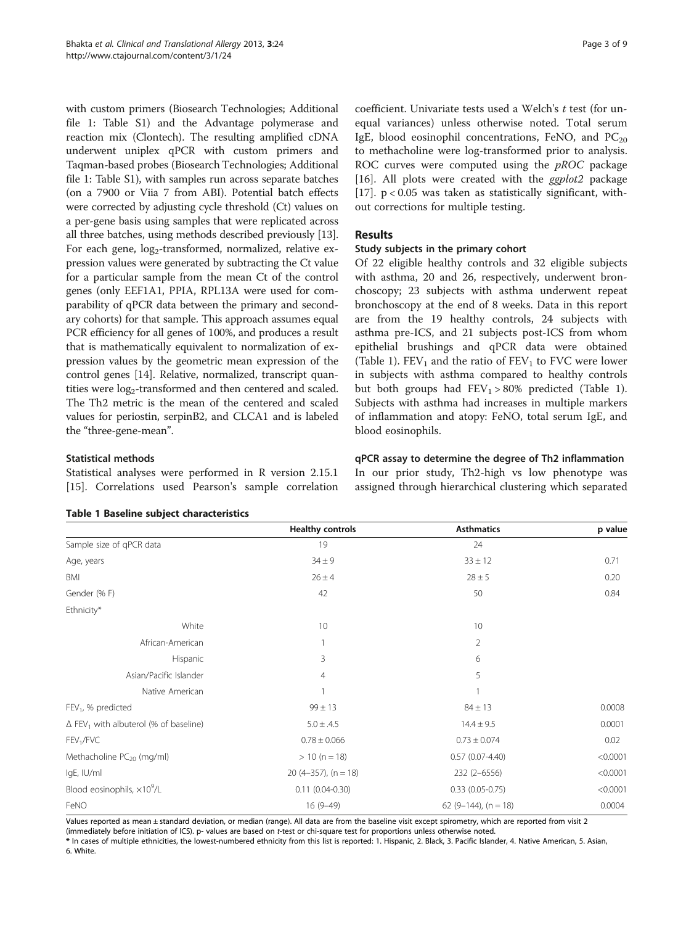with custom primers (Biosearch Technologies; Additional file [1:](#page-7-0) Table S1) and the Advantage polymerase and reaction mix (Clontech). The resulting amplified cDNA underwent uniplex qPCR with custom primers and Taqman-based probes (Biosearch Technologies; Additional file [1:](#page-7-0) Table S1), with samples run across separate batches (on a 7900 or Viia 7 from ABI). Potential batch effects were corrected by adjusting cycle threshold (Ct) values on a per-gene basis using samples that were replicated across all three batches, using methods described previously [[13](#page-8-0)]. For each gene, log<sub>2</sub>-transformed, normalized, relative expression values were generated by subtracting the Ct value for a particular sample from the mean Ct of the control genes (only EEF1A1, PPIA, RPL13A were used for comparability of qPCR data between the primary and secondary cohorts) for that sample. This approach assumes equal PCR efficiency for all genes of 100%, and produces a result that is mathematically equivalent to normalization of expression values by the geometric mean expression of the control genes [\[14](#page-8-0)]. Relative, normalized, transcript quantities were  $log_2$ -transformed and then centered and scaled. The Th2 metric is the mean of the centered and scaled values for periostin, serpinB2, and CLCA1 and is labeled the "three-gene-mean".

#### Statistical methods

Statistical analyses were performed in R version 2.15.1 [[15\]](#page-8-0). Correlations used Pearson's sample correlation

coefficient. Univariate tests used a Welch's t test (for unequal variances) unless otherwise noted. Total serum IgE, blood eosinophil concentrations, FeNO, and  $PC_{20}$ to methacholine were log-transformed prior to analysis. ROC curves were computed using the  $pROC$  package [[16\]](#page-8-0). All plots were created with the *ggplot2* package [[17\]](#page-8-0).  $p < 0.05$  was taken as statistically significant, without corrections for multiple testing.

## Results

#### Study subjects in the primary cohort

Of 22 eligible healthy controls and 32 eligible subjects with asthma, 20 and 26, respectively, underwent bronchoscopy; 23 subjects with asthma underwent repeat bronchoscopy at the end of 8 weeks. Data in this report are from the 19 healthy controls, 24 subjects with asthma pre-ICS, and 21 subjects post-ICS from whom epithelial brushings and qPCR data were obtained (Table 1).  $FEV_1$  and the ratio of  $FEV_1$  to  $FVC$  were lower in subjects with asthma compared to healthy controls but both groups had  $FEV_1 > 80\%$  predicted (Table 1). Subjects with asthma had increases in multiple markers of inflammation and atopy: FeNO, total serum IgE, and blood eosinophils.

qPCR assay to determine the degree of Th2 inflammation In our prior study, Th2-high vs low phenotype was assigned through hierarchical clustering which separated

|                                                          | <b>Healthy controls</b>   | <b>Asthmatics</b>      | p value  |
|----------------------------------------------------------|---------------------------|------------------------|----------|
| Sample size of qPCR data                                 | 24<br>19                  |                        |          |
| Age, years                                               | $34 \pm 9$                | $33 \pm 12$            | 0.71     |
| BMI                                                      | $26 \pm 4$                | $28 \pm 5$             | 0.20     |
| Gender (%F)                                              | 42                        | 50                     | 0.84     |
| Ethnicity*                                               |                           |                        |          |
| White                                                    | 10                        | 10                     |          |
| African-American                                         | 2<br>1                    |                        |          |
| Hispanic                                                 | 3                         | 6                      |          |
| Asian/Pacific Islander                                   | 5<br>$\overline{4}$       |                        |          |
| Native American                                          | 1                         |                        |          |
| FEV <sub>1</sub> , % predicted                           | $99 \pm 13$               | $84 \pm 13$            |          |
| $\Delta$ FEV <sub>1</sub> with albuterol (% of baseline) | $5.0 \pm .4.5$            | $14.4 \pm 9.5$         | 0.0001   |
| FEV <sub>1</sub> /FVC                                    | $0.78 \pm 0.066$          | $0.73 \pm 0.074$       | 0.02     |
| Methacholine $PC_{20}$ (mg/ml)                           | $> 10 (n = 18)$           | $0.57(0.07-4.40)$      | < 0.0001 |
| IgE, IU/ml                                               | 20 $(4-357)$ , $(n = 18)$ | 232 (2-6556)           | < 0.0001 |
| Blood eosinophils, $\times 10^9$ /L                      | $0.11(0.04 - 0.30)$       | $0.33$ $(0.05 - 0.75)$ | < 0.0001 |
| FeNO                                                     | $16(9-49)$                | 62 (9-144), $(n = 18)$ | 0.0004   |

Values reported as mean ± standard deviation, or median (range). All data are from the baseline visit except spirometry, which are reported from visit 2

(immediately before initiation of ICS). p- values are based on t-test or chi-square test for proportions unless otherwise noted.

\* In cases of multiple ethnicities, the lowest-numbered ethnicity from this list is reported: 1. Hispanic, 2. Black, 3. Pacific Islander, 4. Native American, 5. Asian, 6. White.

#### Table 1 Baseline subject characteristics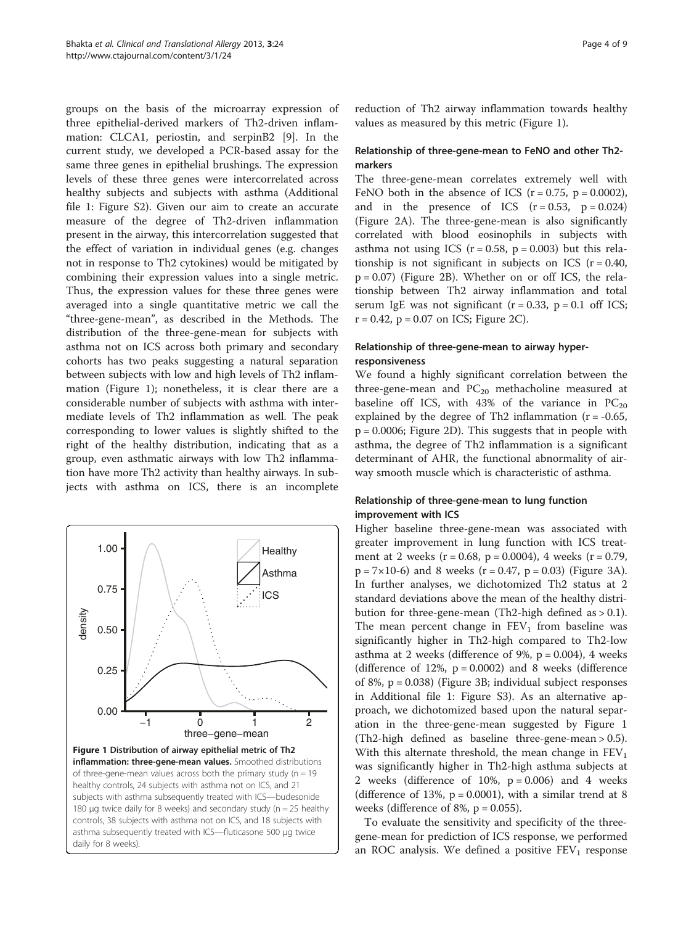<span id="page-3-0"></span>groups on the basis of the microarray expression of three epithelial-derived markers of Th2-driven inflammation: CLCA1, periostin, and serpinB2 [[9\]](#page-8-0). In the current study, we developed a PCR-based assay for the same three genes in epithelial brushings. The expression levels of these three genes were intercorrelated across healthy subjects and subjects with asthma (Additional file [1](#page-7-0): Figure S2). Given our aim to create an accurate measure of the degree of Th2-driven inflammation present in the airway, this intercorrelation suggested that the effect of variation in individual genes (e.g. changes not in response to Th2 cytokines) would be mitigated by combining their expression values into a single metric. Thus, the expression values for these three genes were averaged into a single quantitative metric we call the "three-gene-mean", as described in the [Methods.](#page-1-0) The distribution of the three-gene-mean for subjects with asthma not on ICS across both primary and secondary cohorts has two peaks suggesting a natural separation between subjects with low and high levels of Th2 inflammation (Figure 1); nonetheless, it is clear there are a considerable number of subjects with asthma with intermediate levels of Th2 inflammation as well. The peak corresponding to lower values is slightly shifted to the right of the healthy distribution, indicating that as a group, even asthmatic airways with low Th2 inflammation have more Th2 activity than healthy airways. In subjects with asthma on ICS, there is an incomplete



of three-gene-mean values across both the primary study ( $n = 19$ healthy controls, 24 subjects with asthma not on ICS, and 21 subjects with asthma subsequently treated with ICS—budesonide 180 μg twice daily for 8 weeks) and secondary study ( $n = 25$  healthy controls, 38 subjects with asthma not on ICS, and 18 subjects with asthma subsequently treated with ICS—fluticasone 500 μg twice daily for 8 weeks).

reduction of Th2 airway inflammation towards healthy values as measured by this metric (Figure 1).

## Relationship of three-gene-mean to FeNO and other Th2 markers

The three-gene-mean correlates extremely well with FeNO both in the absence of ICS  $(r = 0.75, p = 0.0002)$ , and in the presence of ICS  $(r = 0.53, p = 0.024)$ (Figure [2A](#page-4-0)). The three-gene-mean is also significantly correlated with blood eosinophils in subjects with asthma not using ICS  $(r = 0.58, p = 0.003)$  but this relationship is not significant in subjects on ICS  $(r = 0.40,$  $p = 0.07$ ) (Figure [2](#page-4-0)B). Whether on or off ICS, the relationship between Th2 airway inflammation and total serum IgE was not significant  $(r = 0.33, p = 0.1$  off ICS;  $r = 0.42$ ,  $p = 0.07$  on ICS; Figure [2C](#page-4-0)).

## Relationship of three-gene-mean to airway hyperresponsiveness

We found a highly significant correlation between the three-gene-mean and  $PC_{20}$  methacholine measured at baseline off ICS, with 43% of the variance in  $PC_{20}$ explained by the degree of Th2 inflammation  $(r = -0.65,$ p = 0.0006; Figure [2D](#page-4-0)). This suggests that in people with asthma, the degree of Th2 inflammation is a significant determinant of AHR, the functional abnormality of airway smooth muscle which is characteristic of asthma.

## Relationship of three-gene-mean to lung function improvement with ICS

Higher baseline three-gene-mean was associated with greater improvement in lung function with ICS treatment at 2 weeks ( $r = 0.68$ ,  $p = 0.0004$ ), 4 weeks ( $r = 0.79$ ,  $p = 7 \times 10^{-6}$  and 8 weeks (r = 0.47, p = 0.03) (Figure [3](#page-4-0)A). In further analyses, we dichotomized Th2 status at 2 standard deviations above the mean of the healthy distribution for three-gene-mean (Th2-high defined as  $> 0.1$ ). The mean percent change in  $FEV<sub>1</sub>$  from baseline was significantly higher in Th2-high compared to Th2-low asthma at 2 weeks (difference of 9%,  $p = 0.004$ ), 4 weeks (difference of  $12\%$ ,  $p = 0.0002$ ) and 8 weeks (difference of 8%, p = 0.038) (Figure [3B](#page-4-0); individual subject responses in Additional file [1](#page-7-0): Figure S3). As an alternative approach, we dichotomized based upon the natural separation in the three-gene-mean suggested by Figure 1 (Th2-high defined as baseline three-gene-mean > 0.5). With this alternate threshold, the mean change in  $FEV<sub>1</sub>$ was significantly higher in Th2-high asthma subjects at 2 weeks (difference of 10%,  $p = 0.006$ ) and 4 weeks (difference of 13%,  $p = 0.0001$ ), with a similar trend at 8 weeks (difference of 8%,  $p = 0.055$ ).

To evaluate the sensitivity and specificity of the threegene-mean for prediction of ICS response, we performed an ROC analysis. We defined a positive  $FEV<sub>1</sub>$  response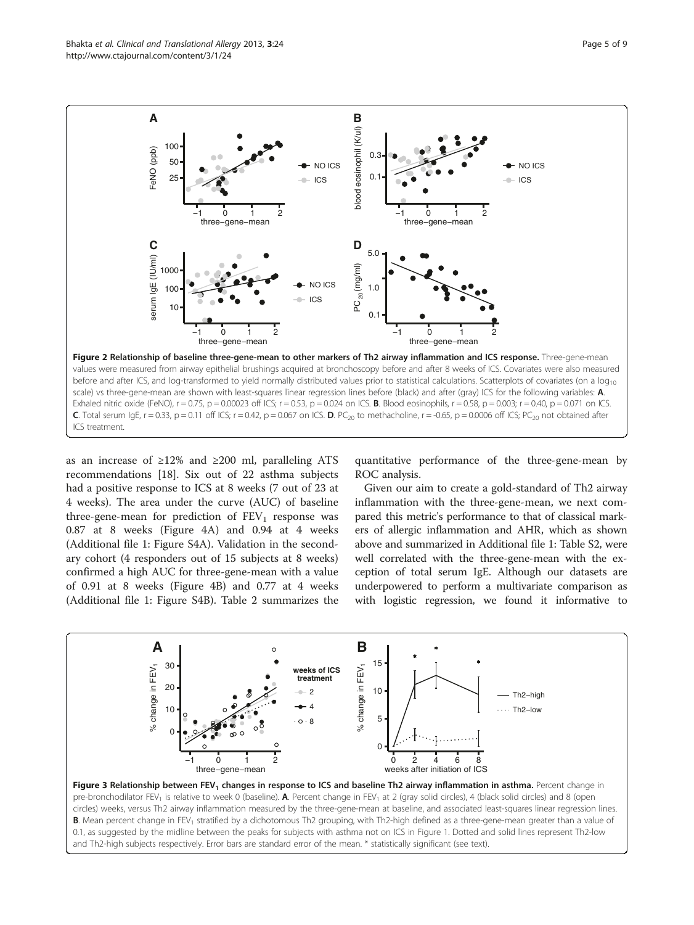<span id="page-4-0"></span>

as an increase of ≥12% and ≥200 ml, paralleling ATS recommendations [[18](#page-8-0)]. Six out of 22 asthma subjects had a positive response to ICS at 8 weeks (7 out of 23 at 4 weeks). The area under the curve (AUC) of baseline three-gene-mean for prediction of  $FEV<sub>1</sub>$  response was 0.87 at 8 weeks (Figure [4A](#page-5-0)) and 0.94 at 4 weeks (Additional file [1:](#page-7-0) Figure S4A). Validation in the secondary cohort (4 responders out of 15 subjects at 8 weeks) confirmed a high AUC for three-gene-mean with a value of 0.91 at 8 weeks (Figure [4](#page-5-0)B) and 0.77 at 4 weeks (Additional file [1:](#page-7-0) Figure S4B). Table [2](#page-5-0) summarizes the quantitative performance of the three-gene-mean by ROC analysis.

Given our aim to create a gold-standard of Th2 airway inflammation with the three-gene-mean, we next compared this metric's performance to that of classical markers of allergic inflammation and AHR, which as shown above and summarized in Additional file [1:](#page-7-0) Table S2, were well correlated with the three-gene-mean with the exception of total serum IgE. Although our datasets are underpowered to perform a multivariate comparison as with logistic regression, we found it informative to



Figure 3 Relationship between FEV<sub>1</sub> changes in response to ICS and baseline Th2 airway inflammation in asthma. Percent change in pre-bronchodilator FEV<sub>1</sub> is relative to week 0 (baseline). A. Percent change in FEV<sub>1</sub> at 2 (gray solid circles), 4 (black solid circles) and 8 (open circles) weeks, versus Th2 airway inflammation measured by the three-gene-mean at baseline, and associated least-squares linear regression lines. B. Mean percent change in FEV<sub>1</sub> stratified by a dichotomous Th2 grouping, with Th2-high defined as a three-gene-mean greater than a value of 0.1, as suggested by the midline between the peaks for subjects with asthma not on ICS in Figure [1.](#page-3-0) Dotted and solid lines represent Th2-low and Th2-high subjects respectively. Error bars are standard error of the mean. \* statistically significant (see text).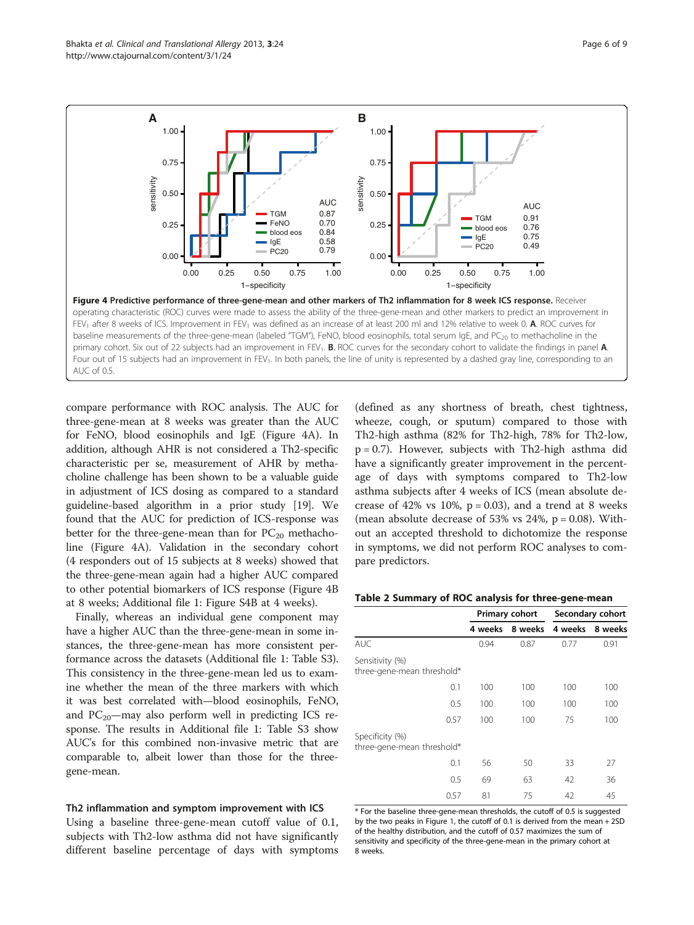<span id="page-5-0"></span>

compare performance with ROC analysis. The AUC for three-gene-mean at 8 weeks was greater than the AUC for FeNO, blood eosinophils and IgE (Figure 4A). In addition, although AHR is not considered a Th2-specific characteristic per se, measurement of AHR by methacholine challenge has been shown to be a valuable guide in adjustment of ICS dosing as compared to a standard guideline-based algorithm in a prior study [[19](#page-8-0)]. We found that the AUC for prediction of ICS-response was better for the three-gene-mean than for  $PC_{20}$  methacholine (Figure 4A). Validation in the secondary cohort (4 responders out of 15 subjects at 8 weeks) showed that the three-gene-mean again had a higher AUC compared to other potential biomarkers of ICS response (Figure 4B at 8 weeks; Additional file [1](#page-7-0): Figure S4B at 4 weeks).

Finally, whereas an individual gene component may have a higher AUC than the three-gene-mean in some instances, the three-gene-mean has more consistent performance across the datasets (Additional file [1](#page-7-0): Table S3). This consistency in the three-gene-mean led us to examine whether the mean of the three markers with which it was best correlated with—blood eosinophils, FeNO, and  $PC_{20}$ -may also perform well in predicting ICS response. The results in Additional file [1](#page-7-0): Table S3 show AUC's for this combined non-invasive metric that are comparable to, albeit lower than those for the threegene-mean.

#### Th2 inflammation and symptom improvement with ICS

Using a baseline three-gene-mean cutoff value of 0.1, subjects with Th2-low asthma did not have significantly different baseline percentage of days with symptoms (defined as any shortness of breath, chest tightness, wheeze, cough, or sputum) compared to those with Th2-high asthma (82% for Th2-high, 78% for Th2-low,  $p = 0.7$ ). However, subjects with Th2-high asthma did have a significantly greater improvement in the percentage of days with symptoms compared to Th2-low asthma subjects after 4 weeks of ICS (mean absolute decrease of 42% vs 10%,  $p = 0.03$ ), and a trend at 8 weeks (mean absolute decrease of 53% vs  $24\%$ ,  $p = 0.08$ ). Without an accepted threshold to dichotomize the response in symptoms, we did not perform ROC analyses to compare predictors.

|  |  |  | Table 2 Summary of ROC analysis for three-gene-mean |
|--|--|--|-----------------------------------------------------|
|--|--|--|-----------------------------------------------------|

|                                               | Primary cohort |                         | Secondary cohort |         |
|-----------------------------------------------|----------------|-------------------------|------------------|---------|
|                                               |                | 4 weeks 8 weeks 4 weeks |                  | 8 weeks |
| AUC.                                          | 0.94           | 0.87                    | 0.77             | 0.91    |
| Sensitivity (%)<br>three-gene-mean threshold* |                |                         |                  |         |
| 0.1                                           | 100            | 100                     | 100              | 100     |
| 0.5                                           | 100            | 100                     | 100              | 100     |
| 0.57                                          | 100            | 100                     | 75               | 100     |
| Specificity (%)<br>three-gene-mean threshold* |                |                         |                  |         |
| 0.1                                           | 56             | 50                      | 33               | 27      |
| 0.5                                           | 69             | 63                      | 42               | 36      |
| 0.57                                          | 81             | 75                      | 42               | 45      |

\* For the baseline three-gene-mean thresholds, the cutoff of 0.5 is suggested by the two peaks in Figure [1,](#page-3-0) the cutoff of 0.1 is derived from the mean + 2SD of the healthy distribution, and the cutoff of 0.57 maximizes the sum of sensitivity and specificity of the three-gene-mean in the primary cohort at 8 weeks.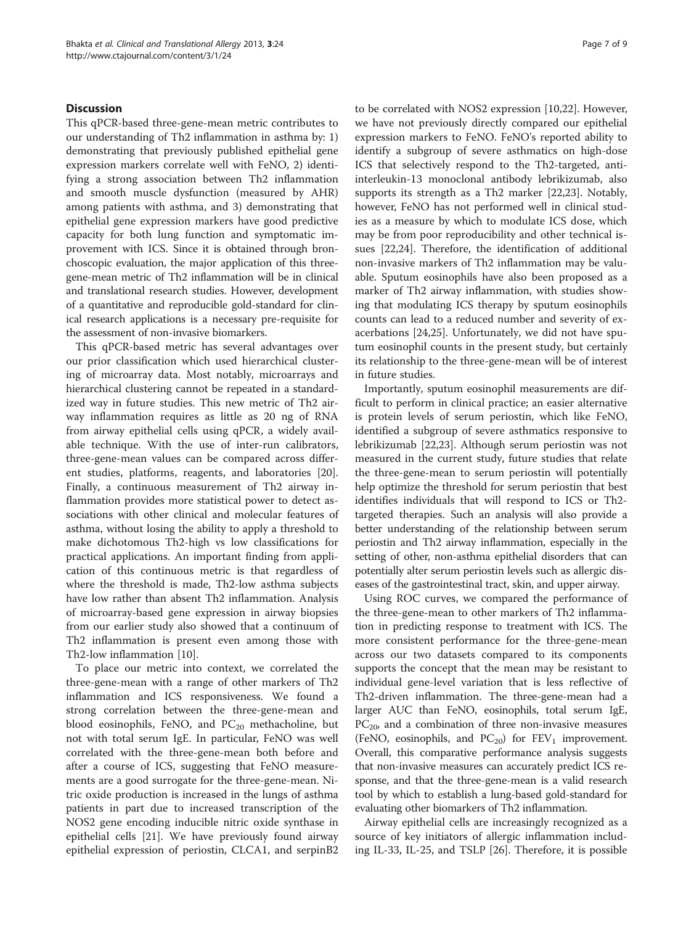## **Discussion**

This qPCR-based three-gene-mean metric contributes to our understanding of Th2 inflammation in asthma by: 1) demonstrating that previously published epithelial gene expression markers correlate well with FeNO, 2) identifying a strong association between Th2 inflammation and smooth muscle dysfunction (measured by AHR) among patients with asthma, and 3) demonstrating that epithelial gene expression markers have good predictive capacity for both lung function and symptomatic improvement with ICS. Since it is obtained through bronchoscopic evaluation, the major application of this threegene-mean metric of Th2 inflammation will be in clinical and translational research studies. However, development of a quantitative and reproducible gold-standard for clinical research applications is a necessary pre-requisite for the assessment of non-invasive biomarkers.

This qPCR-based metric has several advantages over our prior classification which used hierarchical clustering of microarray data. Most notably, microarrays and hierarchical clustering cannot be repeated in a standardized way in future studies. This new metric of Th2 airway inflammation requires as little as 20 ng of RNA from airway epithelial cells using qPCR, a widely available technique. With the use of inter-run calibrators, three-gene-mean values can be compared across different studies, platforms, reagents, and laboratories [\[20](#page-8-0)]. Finally, a continuous measurement of Th2 airway inflammation provides more statistical power to detect associations with other clinical and molecular features of asthma, without losing the ability to apply a threshold to make dichotomous Th2-high vs low classifications for practical applications. An important finding from application of this continuous metric is that regardless of where the threshold is made, Th2-low asthma subjects have low rather than absent Th2 inflammation. Analysis of microarray-based gene expression in airway biopsies from our earlier study also showed that a continuum of Th2 inflammation is present even among those with Th2-low inflammation [\[10](#page-8-0)].

To place our metric into context, we correlated the three-gene-mean with a range of other markers of Th2 inflammation and ICS responsiveness. We found a strong correlation between the three-gene-mean and blood eosinophils, FeNO, and  $PC_{20}$  methacholine, but not with total serum IgE. In particular, FeNO was well correlated with the three-gene-mean both before and after a course of ICS, suggesting that FeNO measurements are a good surrogate for the three-gene-mean. Nitric oxide production is increased in the lungs of asthma patients in part due to increased transcription of the NOS2 gene encoding inducible nitric oxide synthase in epithelial cells [[21\]](#page-8-0). We have previously found airway epithelial expression of periostin, CLCA1, and serpinB2 to be correlated with NOS2 expression [\[10,22](#page-8-0)]. However, we have not previously directly compared our epithelial expression markers to FeNO. FeNO's reported ability to identify a subgroup of severe asthmatics on high-dose ICS that selectively respond to the Th2-targeted, antiinterleukin-13 monoclonal antibody lebrikizumab, also supports its strength as a Th2 marker [\[22,23\]](#page-8-0). Notably, however, FeNO has not performed well in clinical studies as a measure by which to modulate ICS dose, which may be from poor reproducibility and other technical issues [[22,24\]](#page-8-0). Therefore, the identification of additional non-invasive markers of Th2 inflammation may be valuable. Sputum eosinophils have also been proposed as a marker of Th2 airway inflammation, with studies showing that modulating ICS therapy by sputum eosinophils counts can lead to a reduced number and severity of exacerbations [[24](#page-8-0),[25](#page-8-0)]. Unfortunately, we did not have sputum eosinophil counts in the present study, but certainly its relationship to the three-gene-mean will be of interest in future studies.

Importantly, sputum eosinophil measurements are difficult to perform in clinical practice; an easier alternative is protein levels of serum periostin, which like FeNO, identified a subgroup of severe asthmatics responsive to lebrikizumab [[22](#page-8-0),[23](#page-8-0)]. Although serum periostin was not measured in the current study, future studies that relate the three-gene-mean to serum periostin will potentially help optimize the threshold for serum periostin that best identifies individuals that will respond to ICS or Th2 targeted therapies. Such an analysis will also provide a better understanding of the relationship between serum periostin and Th2 airway inflammation, especially in the setting of other, non-asthma epithelial disorders that can potentially alter serum periostin levels such as allergic diseases of the gastrointestinal tract, skin, and upper airway.

Using ROC curves, we compared the performance of the three-gene-mean to other markers of Th2 inflammation in predicting response to treatment with ICS. The more consistent performance for the three-gene-mean across our two datasets compared to its components supports the concept that the mean may be resistant to individual gene-level variation that is less reflective of Th2-driven inflammation. The three-gene-mean had a larger AUC than FeNO, eosinophils, total serum IgE,  $PC_{20}$ , and a combination of three non-invasive measures (FeNO, eosinophils, and  $PC_{20}$ ) for  $FEV_1$  improvement. Overall, this comparative performance analysis suggests that non-invasive measures can accurately predict ICS response, and that the three-gene-mean is a valid research tool by which to establish a lung-based gold-standard for evaluating other biomarkers of Th2 inflammation.

Airway epithelial cells are increasingly recognized as a source of key initiators of allergic inflammation including IL-33, IL-25, and TSLP [\[26](#page-8-0)]. Therefore, it is possible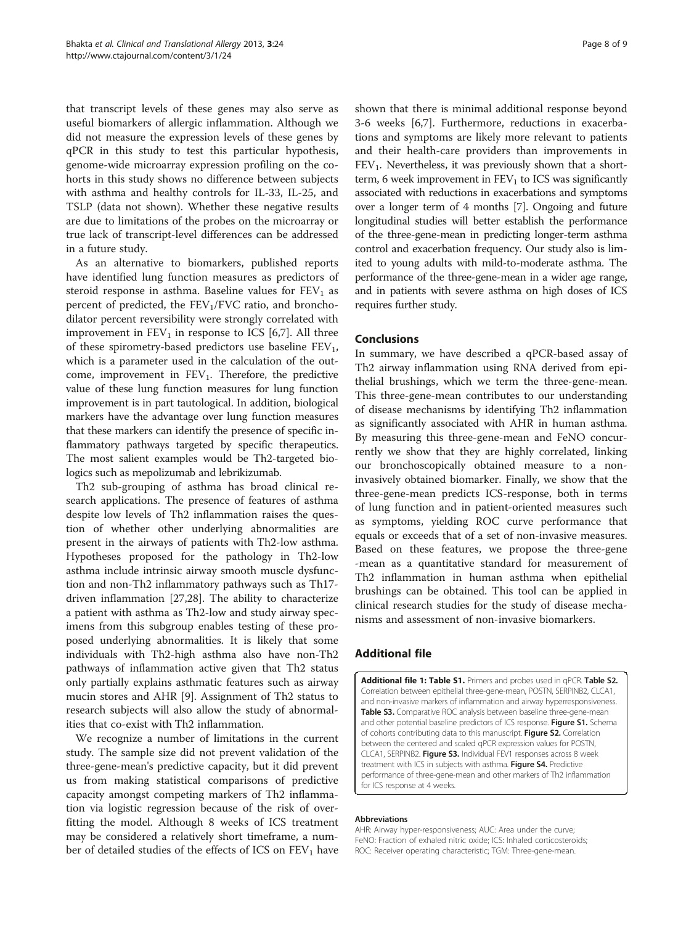<span id="page-7-0"></span>that transcript levels of these genes may also serve as useful biomarkers of allergic inflammation. Although we did not measure the expression levels of these genes by qPCR in this study to test this particular hypothesis, genome-wide microarray expression profiling on the cohorts in this study shows no difference between subjects with asthma and healthy controls for IL-33, IL-25, and TSLP (data not shown). Whether these negative results are due to limitations of the probes on the microarray or true lack of transcript-level differences can be addressed in a future study.

As an alternative to biomarkers, published reports have identified lung function measures as predictors of steroid response in asthma. Baseline values for  $FEV<sub>1</sub>$  as percent of predicted, the  $FEV<sub>1</sub>/FVC$  ratio, and bronchodilator percent reversibility were strongly correlated with improvement in  $FEV_1$  in response to ICS [[6,7\]](#page-8-0). All three of these spirometry-based predictors use baseline  $FEV<sub>1</sub>$ , which is a parameter used in the calculation of the outcome, improvement in  $FEV<sub>1</sub>$ . Therefore, the predictive value of these lung function measures for lung function improvement is in part tautological. In addition, biological markers have the advantage over lung function measures that these markers can identify the presence of specific inflammatory pathways targeted by specific therapeutics. The most salient examples would be Th2-targeted biologics such as mepolizumab and lebrikizumab.

Th2 sub-grouping of asthma has broad clinical research applications. The presence of features of asthma despite low levels of Th2 inflammation raises the question of whether other underlying abnormalities are present in the airways of patients with Th2-low asthma. Hypotheses proposed for the pathology in Th2-low asthma include intrinsic airway smooth muscle dysfunction and non-Th2 inflammatory pathways such as Th17 driven inflammation [[27,28](#page-8-0)]. The ability to characterize a patient with asthma as Th2-low and study airway specimens from this subgroup enables testing of these proposed underlying abnormalities. It is likely that some individuals with Th2-high asthma also have non-Th2 pathways of inflammation active given that Th2 status only partially explains asthmatic features such as airway mucin stores and AHR [[9\]](#page-8-0). Assignment of Th2 status to research subjects will also allow the study of abnormalities that co-exist with Th2 inflammation.

We recognize a number of limitations in the current study. The sample size did not prevent validation of the three-gene-mean's predictive capacity, but it did prevent us from making statistical comparisons of predictive capacity amongst competing markers of Th2 inflammation via logistic regression because of the risk of overfitting the model. Although 8 weeks of ICS treatment may be considered a relatively short timeframe, a number of detailed studies of the effects of ICS on  $FEV<sub>1</sub>$  have

shown that there is minimal additional response beyond 3-6 weeks [\[6,7](#page-8-0)]. Furthermore, reductions in exacerbations and symptoms are likely more relevant to patients and their health-care providers than improvements in  $FEV<sub>1</sub>$ . Nevertheless, it was previously shown that a shortterm, 6 week improvement in  $FEV<sub>1</sub>$  to ICS was significantly associated with reductions in exacerbations and symptoms over a longer term of 4 months [[7](#page-8-0)]. Ongoing and future longitudinal studies will better establish the performance of the three-gene-mean in predicting longer-term asthma control and exacerbation frequency. Our study also is limited to young adults with mild-to-moderate asthma. The performance of the three-gene-mean in a wider age range, and in patients with severe asthma on high doses of ICS requires further study.

### Conclusions

In summary, we have described a qPCR-based assay of Th2 airway inflammation using RNA derived from epithelial brushings, which we term the three-gene-mean. This three-gene-mean contributes to our understanding of disease mechanisms by identifying Th2 inflammation as significantly associated with AHR in human asthma. By measuring this three-gene-mean and FeNO concurrently we show that they are highly correlated, linking our bronchoscopically obtained measure to a noninvasively obtained biomarker. Finally, we show that the three-gene-mean predicts ICS-response, both in terms of lung function and in patient-oriented measures such as symptoms, yielding ROC curve performance that equals or exceeds that of a set of non-invasive measures. Based on these features, we propose the three-gene -mean as a quantitative standard for measurement of Th2 inflammation in human asthma when epithelial brushings can be obtained. This tool can be applied in clinical research studies for the study of disease mechanisms and assessment of non-invasive biomarkers.

## Additional file

[Additional file 1: Table S1.](http://www.biomedcentral.com/content/supplementary/2045-7022-3-24-S1.pdf) Primers and probes used in qPCR. Table S2. Correlation between epithelial three-gene-mean, POSTN, SERPINB2, CLCA1, and non-invasive markers of inflammation and airway hyperresponsiveness. Table S3. Comparative ROC analysis between baseline three-gene-mean and other potential baseline predictors of ICS response. Figure S1. Schema of cohorts contributing data to this manuscript. Figure S2. Correlation between the centered and scaled qPCR expression values for POSTN, CLCA1, SERPINB2. Figure S3. Individual FEV1 responses across 8 week treatment with ICS in subjects with asthma. Figure S4. Predictive performance of three-gene-mean and other markers of Th2 inflammation for ICS response at 4 weeks.

#### Abbreviations

AHR: Airway hyper-responsiveness; AUC: Area under the curve; FeNO: Fraction of exhaled nitric oxide; ICS: Inhaled corticosteroids; ROC: Receiver operating characteristic; TGM: Three-gene-mean.